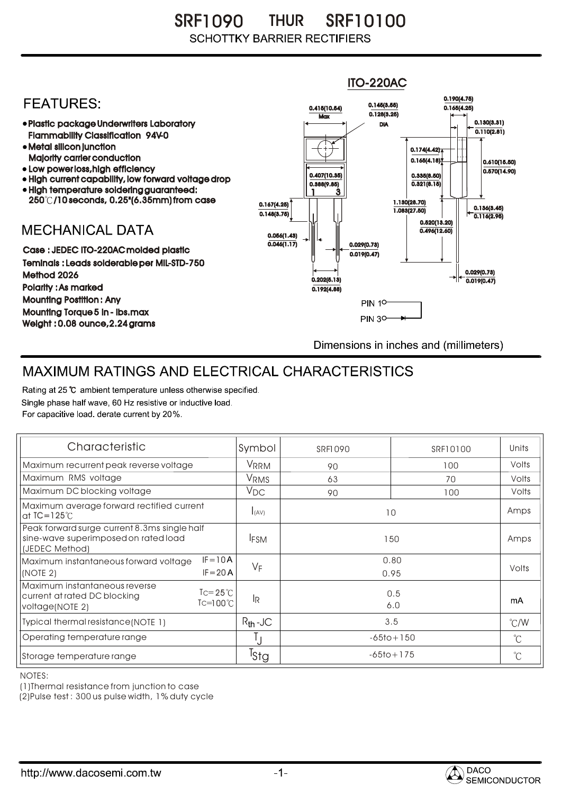SRF1090 THUR SRF10100 **SCHOTTKY BARRIER RECTIFIERS** 



## MAXIMUM RATINGS AND ELECTRICAL CHARACTERISTICS

Rating at 25 °C ambient temperature unless otherwise specified. Single phase half wave, 60 Hz resistive or inductive load. For capacitive load, derate current by 20%.

| Characteristic                                                                                                                       | Symbol           | <b>SRF1090</b> | SRF10100       | Units         |
|--------------------------------------------------------------------------------------------------------------------------------------|------------------|----------------|----------------|---------------|
| Maximum recurrent peak reverse voltage                                                                                               | VRRM             | 90             | 100            | Volts         |
| Maximum RMS voltage                                                                                                                  | VRMS             | 63             | 70             | Volts         |
| Maximum DC blocking voltage                                                                                                          | $V_{DC}$         | 90             | 100            | Volts         |
| Maximum average forward rectified current<br>at $IC = 125^\circ C$                                                                   | I(AV)            | 10             |                | Amps          |
| Peak forward surge current 8.3ms single half<br>sine-wave superimposed on rated load<br>(JEDEC Method)                               | <b>IFSM</b>      | 150            |                | Amps          |
| $IF = 10A$<br>Maximum instantaneous forward voltage<br>$IF = 20 A$<br>(NOTE 2)                                                       | $V_F$            |                | 0.80<br>0.95   | Volts         |
| Maximum instantaneous reverse<br>$\text{I} = 25^{\circ}$ C<br>current at rated DC blocking<br>$Tc = 100^{\circ}C$<br>voltage(NOTE 2) | <b>IR</b>        | 0.5<br>6.0     |                | mA            |
| Typical thermal resistance (NOTE 1)                                                                                                  | $R_{th}$ -JC     | 3.5            |                | $\degree$ C/W |
| Operating temperature range                                                                                                          | IJ               |                | $-65$ to + 150 | °C            |
| Storage temperature range                                                                                                            | <sup>I</sup> Stg |                | $-65$ to + 175 |               |

NOTES:

(1)Thermal resistance from junction to case

(2)Pulse test : 300 us pulse width, 1% duty cycle